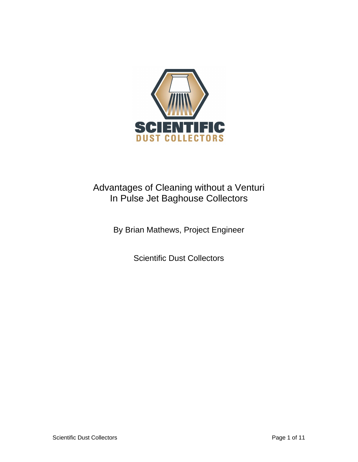

# Advantages of Cleaning without a Venturi In Pulse Jet Baghouse Collectors

By Brian Mathews, Project Engineer

Scientific Dust Collectors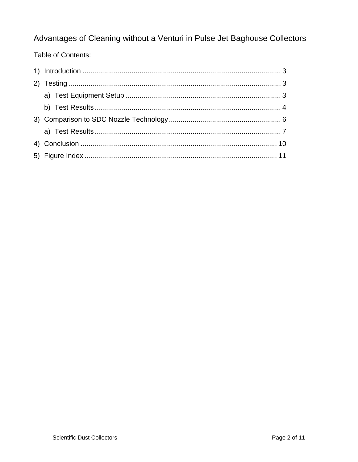## Advantages of Cleaning without a Venturi in Pulse Jet Baghouse Collectors

### Table of Contents: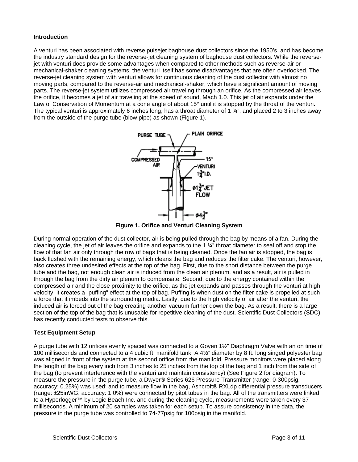#### **Introduction**

A venturi has been associated with reverse pulsejet baghouse dust collectors since the 1950's, and has become the industry standard design for the reverse-jet cleaning system of baghouse dust collectors. While the reversejet with venturi does provide some advantages when compared to other methods such as reverse-air or mechanical-shaker cleaning systems, the venturi itself has some disadvantages that are often overlooked. The reverse-jet cleaning system with venturi allows for continuous cleaning of the dust collector with almost no moving parts, compared to the reverse-air and mechanical-shaker, which have a significant amount of moving parts. The reverse-jet system utilizes compressed air traveling through an orifice. As the compressed air leaves the orifice, it becomes a jet of air traveling at the speed of sound, Mach 1.0. This jet of air expands under the Law of Conservation of Momentum at a cone angle of about 15° until it is stopped by the throat of the venturi. The typical venturi is approximately 6 inches long, has a throat diameter of 1  $\frac{3}{4}$ ", and placed 2 to 3 inches away from the outside of the purge tube (blow pipe) as shown (Figure 1).



**Figure 1. Orifice and Venturi Cleaning System** 

During normal operation of the dust collector, air is being pulled through the bag by means of a fan. During the cleaning cycle, the jet of air leaves the orifice and expands to the 1 ¾" throat diameter to seal off and stop the flow of that fan air only through the row of bags that is being cleaned. Once the fan air is stopped, the bag is back flushed with the remaining energy, which cleans the bag and reduces the filter cake. The venturi, however, also creates three undesired effects at the top of the bag. First, due to the short distance between the purge tube and the bag, not enough clean air is induced from the clean air plenum, and as a result, air is pulled in through the bag from the dirty air plenum to compensate. Second, due to the energy contained within the compressed air and the close proximity to the orifice, as the jet expands and passes through the venturi at high velocity, it creates a "puffing" effect at the top of bag. Puffing is when dust on the filter cake is propelled at such a force that it imbeds into the surrounding media. Lastly, due to the high velocity of air after the venturi, the induced air is forced out of the bag creating another vacuum further down the bag. As a result, there is a large section of the top of the bag that is unusable for repetitive cleaning of the dust. Scientific Dust Collectors (SDC) has recently conducted tests to observe this.

#### **Test Equipment Setup**

A purge tube with 12 orifices evenly spaced was connected to a Goyen 1½" Diaphragm Valve with an on time of 100 milliseconds and connected to a 4 cubic ft. manifold tank. A 4½" diameter by 8 ft. long singed polyester bag was aligned in front of the system at the second orifice from the manifold. Pressure monitors were placed along the length of the bag every inch from 3 inches to 25 inches from the top of the bag and 1 inch from the side of the bag (to prevent interference with the venturi and maintain consistency) (See Figure 2 for diagram). To measure the pressure in the purge tube, a Dwyer® Series 626 Pressure Transmitter (range: 0-300psig, accuracy: 0.25%) was used; and to measure flow in the bag, Ashcroft® RXLdp differential pressure transducers (range: ±25inWG, accuracy: 1.0%) were connected by pitot tubes in the bag. All of the transmitters were linked to a Hyperlogger™ by Logic Beach Inc. and during the cleaning cycle, measurements were taken every 37 milliseconds. A minimum of 20 samples was taken for each setup. To assure consistency in the data, the pressure in the purge tube was controlled to 74-77psig for 100psig in the manifold.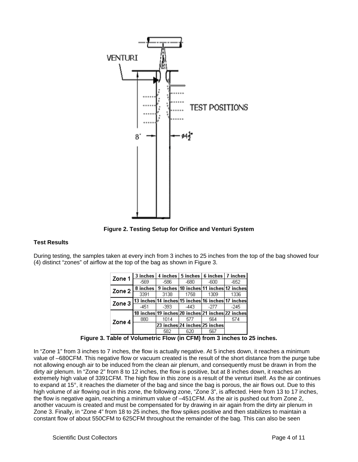

**Figure 2. Testing Setup for Orifice and Venturi System** 

#### **Test Results**

During testing, the samples taken at every inch from 3 inches to 25 inches from the top of the bag showed four (4) distinct "zones" of airflow at the top of the bag as shown in Figure 3.

| Zone 1   |                                                   |       | $3$ inches   4 inches   5 inches   6 inches   7 inches  |      |        |
|----------|---------------------------------------------------|-------|---------------------------------------------------------|------|--------|
|          | -569                                              | -586  | -680                                                    | -600 | -652   |
| Zone 2 l |                                                   |       | 8 inches   9 inches   10 inches   11 inches   12 inches |      |        |
|          | 3391                                              | 3138  | 1758                                                    | 1309 | 1336   |
| Zone 3   | 13 inches 14 inches 15 inches 16 inches 17 inches |       |                                                         |      |        |
|          | $-451$                                            | -393. | $-443$                                                  | -277 | $-245$ |
|          |                                                   |       | 18 inches 19 inches 20 inches 21 inches 22 inches       |      |        |
| Zone 4   | 880                                               | 1014  | 577                                                     | 564  | 574    |
|          |                                                   |       | 23 inches 24 inches 25 inches                           |      |        |
|          |                                                   | 582   | 620                                                     | 567  |        |

**Figure 3. Table of Volumetric Flow (in CFM) from 3 inches to 25 inches.** 

In "Zone 1" from 3 inches to 7 inches, the flow is actually negative. At 5 inches down, it reaches a minimum value of –680CFM. This negative flow or vacuum created is the result of the short distance from the purge tube not allowing enough air to be induced from the clean air plenum, and consequently must be drawn in from the dirty air plenum. In "Zone 2" from 8 to 12 inches, the flow is positive, but at 8 inches down, it reaches an extremely high value of 3391CFM. The high flow in this zone is a result of the venturi itself. As the air continues to expand at 15°, it reaches the diameter of the bag and since the bag is porous, the air flows out. Due to this high volume of air flowing out in this zone, the following zone, "Zone 3", is affected. Here from 13 to 17 inches, the flow is negative again, reaching a minimum value of –451CFM. As the air is pushed out from Zone 2, another vacuum is created and must be compensated for by drawing in air again from the dirty air plenum in Zone 3. Finally, in "Zone 4" from 18 to 25 inches, the flow spikes positive and then stabilizes to maintain a constant flow of about 550CFM to 625CFM throughout the remainder of the bag. This can also be seen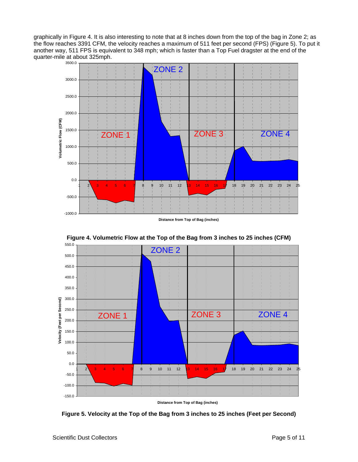graphically in Figure 4. It is also interesting to note that at 8 inches down from the top of the bag in Zone 2; as the flow reaches 3391 CFM, the velocity reaches a maximum of 511 feet per second (FPS) (Figure 5). To put it another way, 511 FPS is equivalent to 348 mph; which is faster than a Top Fuel dragster at the end of the quarter-mile at about 325mph.



**Distance from Top of Bag (inches)**



**Figure 4. Volumetric Flow at the Top of the Bag from 3 inches to 25 inches (CFM)** 

**Distance from Top of Bag (inches)**

**Figure 5. Velocity at the Top of the Bag from 3 inches to 25 inches (Feet per Second)**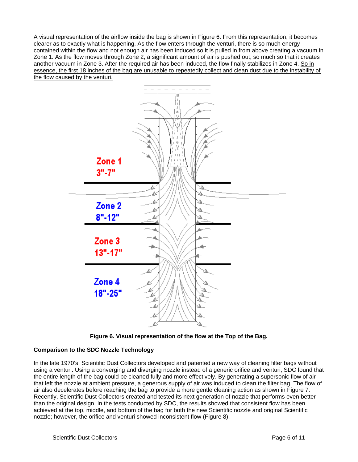A visual representation of the airflow inside the bag is shown in Figure 6. From this representation, it becomes clearer as to exactly what is happening. As the flow enters through the venturi, there is so much energy contained within the flow and not enough air has been induced so it is pulled in from above creating a vacuum in Zone 1. As the flow moves through Zone 2, a significant amount of air is pushed out, so much so that it creates another vacuum in Zone 3. After the required air has been induced, the flow finally stabilizes in Zone 4. So in essence, the first 18 inches of the bag are unusable to repeatedly collect and clean dust due to the instability of the flow caused by the venturi.



**Figure 6. Visual representation of the flow at the Top of the Bag.** 

#### **Comparison to the SDC Nozzle Technology**

In the late 1970's, Scientific Dust Collectors developed and patented a new way of cleaning filter bags without using a venturi. Using a converging and diverging nozzle instead of a generic orifice and venturi, SDC found that the entire length of the bag could be cleaned fully and more effectively. By generating a supersonic flow of air that left the nozzle at ambient pressure, a generous supply of air was induced to clean the filter bag. The flow of air also decelerates before reaching the bag to provide a more gentle cleaning action as shown in Figure 7. Recently, Scientific Dust Collectors created and tested its next generation of nozzle that performs even better than the original design. In the tests conducted by SDC, the results showed that consistent flow has been achieved at the top, middle, and bottom of the bag for both the new Scientific nozzle and original Scientific nozzle; however, the orifice and venturi showed inconsistent flow (Figure 8).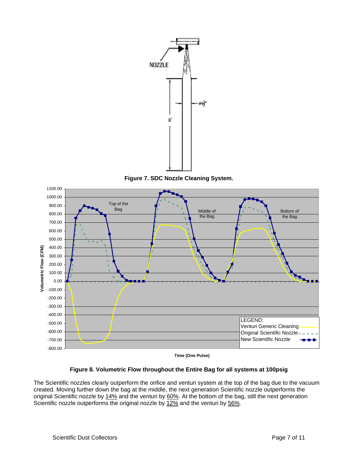

**Figure 7. SDC Nozzle Cleaning System.** 



**Time (One Pulse)**

#### **Figure 8. Volumetric Flow throughout the Entire Bag for all systems at 100psig**

The Scientific nozzles clearly outperform the orifice and venturi system at the top of the bag due to the vacuum created. Moving further down the bag at the middle, the next generation Scientific nozzle outperforms the original Scientific nozzle by 14% and the venturi by 60%. At the bottom of the bag, still the next generation Scientific nozzle outperforms the original nozzle by 12% and the venturi by 56%.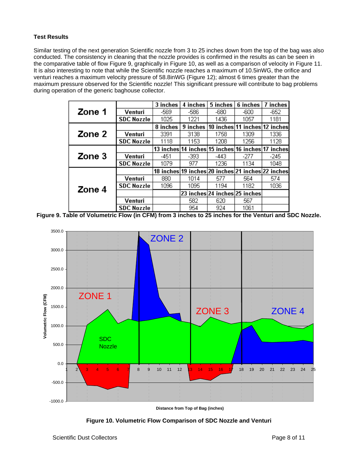#### **Test Results**

Similar testing of the next generation Scientific nozzle from 3 to 25 inches down from the top of the bag was also conducted. The consistency in cleaning that the nozzle provides is confirmed in the results as can be seen in the comparative table of flow Figure 9, graphically in Figure 10, as well as a comparison of velocity in Figure 11. It is also interesting to note that while the Scientific nozzle reaches a maximum of 10.5inWG, the orifice and venturi reaches a maximum velocity pressure of 58.8inWG (Figure 12); almost 6 times greater than the maximum pressure observed for the Scientific nozzle! This significant pressure will contribute to bag problems during operation of the generic baghouse collector.

|        |                   | 3 inches | 4 inches                                          | 5 inches                        | 6 inches                      | 7 inches |
|--------|-------------------|----------|---------------------------------------------------|---------------------------------|-------------------------------|----------|
| Zone 1 | Venturi           | -569     | -586                                              | -680                            | -600                          | $-652$   |
|        | <b>SDC Nozzle</b> | 1025     | 1221                                              | 1436                            | 1057                          | 1181     |
|        |                   | 8 inches | 9 inches                                          |                                 | 10 inches 11 inches 12 inches |          |
| Zone 2 | Venturi           | 3391     | 3138                                              | 1758                            | 1309                          | 1336     |
|        | <b>SDC Nozzle</b> | 1118     | 1153                                              | 1208                            | 1256                          | 1128.    |
|        |                   |          | 13 inches 14 inches 15 inches                     |                                 | 16 inches 17 inches           |          |
| Zone 3 | Venturi           | -451     | -393                                              | -443                            | -277                          | -245     |
|        | <b>SDC Nozzle</b> | 1079     | 977                                               | 1236                            | 1134                          | 1048     |
|        |                   |          | 18 inches 19 inches 20 inches 21 inches 22 inches |                                 |                               |          |
|        | Venturi           | 880      | 1014                                              | 577                             | 564                           | 574      |
| Zone 4 | <b>SDC Nozzle</b> | 1096     | 1095                                              | 1194                            | 1182                          | 1036     |
|        |                   |          |                                                   | 23 inches  24 inches  25 inches |                               |          |
|        | Venturi           |          | 582                                               | 620                             | 567                           |          |
|        | <b>SDC Nozzle</b> |          | 954                                               | 924                             | 1061                          |          |

**Figure 9. Table of Volumetric Flow (in CFM) from 3 inches to 25 inches for the Venturi and SDC Nozzle.** 



**Figure 10. Volumetric Flow Comparison of SDC Nozzle and Venturi**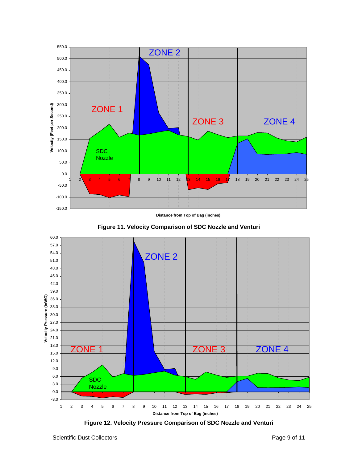

**Distance from Top of Bag (inches)**





**Figure 12. Velocity Pressure Comparison of SDC Nozzle and Venturi**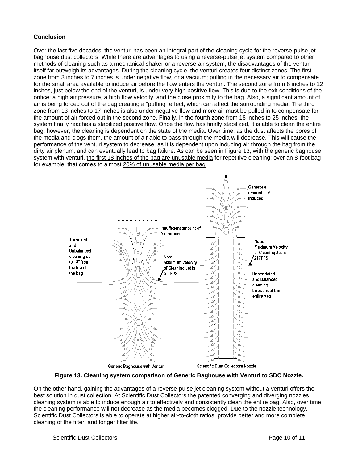#### **Conclusion**

Over the last five decades, the venturi has been an integral part of the cleaning cycle for the reverse-pulse jet baghouse dust collectors. While there are advantages to using a reverse-pulse jet system compared to other methods of cleaning such as a mechanical-shaker or a reverse-air system, the disadvantages of the venturi itself far outweigh its advantages. During the cleaning cycle, the venturi creates four distinct zones. The first zone from 3 inches to 7 inches is under negative flow, or a vacuum; pulling in the necessary air to compensate for the small area available to induce air before the flow enters the venturi. The second zone from 8 inches to 12 inches, just below the end of the venturi, is under very high positive flow. This is due to the exit conditions of the orifice: a high air pressure, a high flow velocity, and the close proximity to the bag. Also, a significant amount of air is being forced out of the bag creating a "puffing" effect, which can affect the surrounding media. The third zone from 13 inches to 17 inches is also under negative flow and more air must be pulled in to compensate for the amount of air forced out in the second zone. Finally, in the fourth zone from 18 inches to 25 inches, the system finally reaches a stabilized positive flow. Once the flow has finally stabilized, it is able to clean the entire bag; however, the cleaning is dependent on the state of the media. Over time, as the dust affects the pores of the media and clogs them, the amount of air able to pass through the media will decrease. This will cause the performance of the venturi system to decrease, as it is dependent upon inducing air through the bag from the dirty air plenum, and can eventually lead to bag failure. As can be seen in Figure 13, with the generic baghouse system with venturi, the first 18 inches of the bag are unusable media for repetitive cleaning; over an 8-foot bag for example, that comes to almost 20% of unusable media per bag.



**Figure 13. Cleaning system comparison of Generic Baghouse with Venturi to SDC Nozzle.** 

On the other hand, gaining the advantages of a reverse-pulse jet cleaning system without a venturi offers the best solution in dust collection. At Scientific Dust Collectors the patented converging and diverging nozzles cleaning system is able to induce enough air to effectively and consistently clean the entire bag. Also, over time, the cleaning performance will not decrease as the media becomes clogged. Due to the nozzle technology, Scientific Dust Collectors is able to operate at higher air-to-cloth ratios, provide better and more complete cleaning of the filter, and longer filter life.

Scientific Dust Collectors **Page 10 of 11** and the Page 10 of 11